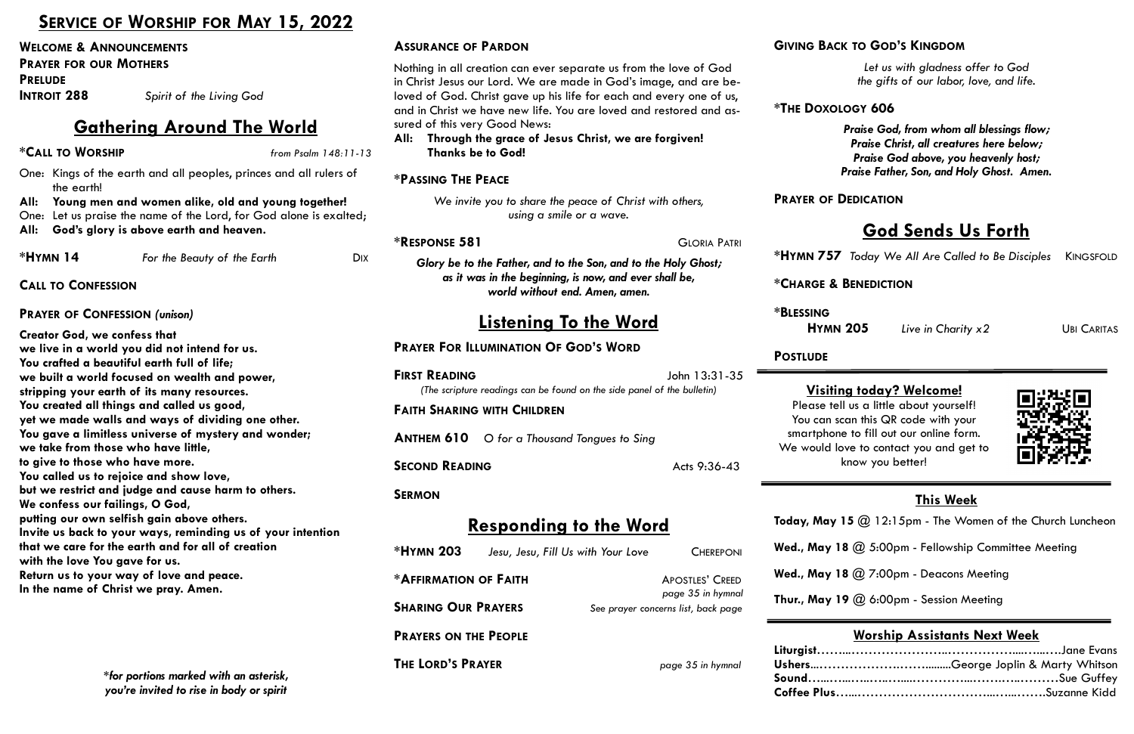One: Let us praise the name of the Lord, for God alone is exalted **All: God's glory is above earth and heaven.**

**\*HYMN 14** *For the Beauty of the Earth* 

*page 35 in hymnal* 

Liturgist…… **shers....... Sound**…...…...…..…..…....…………...…….…..………Sue Guffey **Coffee Plus** 

**SHARING OUR PRAYERS** *See prayer concerns list, back page*

**PRAYERS ON THE PEOPLE**

**THE LORD'S PRAYER** *page 35 in hymnal*

## **SERVICE OF WORSHIP FOR MAY 15, 2022**

**WELCOME & ANNOUNCEMENTS**

**PRAYER FOR OUR MOTHERS**

**PRELUDE** 

**INTROIT 288** *Spirit of the Living God*

## **Gathering Around The World**

**\*CALL TO WORSHIP** *from Psalm 148:11-13*

One: Kings of the earth and all peoples, princes and all rulers of the earth!

**All: Young men and women alike, old and young together!** 

| <b>ASSURANCE OF PARDON</b>                                                                                                                                                                                                                                                                                                                                                                                      |                     | <b>GIVING BA</b>               |
|-----------------------------------------------------------------------------------------------------------------------------------------------------------------------------------------------------------------------------------------------------------------------------------------------------------------------------------------------------------------------------------------------------------------|---------------------|--------------------------------|
| Nothing in all creation can ever separate us from the love of God<br>in Christ Jesus our Lord. We are made in God's image, and are be-<br>loved of God. Christ gave up his life for each and every one of us,<br>and in Christ we have new life. You are loved and restored and as-<br>sured of this very Good News:<br>Through the grace of Jesus Christ, we are forgiven!<br>All:<br><b>Thanks be to God!</b> |                     | *THE DOX                       |
| <b>*PASSING THE PEACE</b>                                                                                                                                                                                                                                                                                                                                                                                       |                     |                                |
| We invite you to share the peace of Christ with others,<br>using a smile or a wave.                                                                                                                                                                                                                                                                                                                             |                     | <b>PRAYER OF</b>               |
| <b>*RESPONSE 581</b>                                                                                                                                                                                                                                                                                                                                                                                            | <b>GLORIA PATRI</b> |                                |
| Glory be to the Father, and to the Son, and to the Holy Ghost;<br>as it was in the beginning, is now, and ever shall be,                                                                                                                                                                                                                                                                                        |                     | $*$ HYMN $75$                  |
| world without end. Amen, amen.                                                                                                                                                                                                                                                                                                                                                                                  |                     | *CHARGE                        |
| <u>Listening To the Word</u>                                                                                                                                                                                                                                                                                                                                                                                    |                     | <b>*BLESSING</b><br><b>HYN</b> |
| <b>PRAYER FOR ILLUMINATION OF GOD'S WORD</b>                                                                                                                                                                                                                                                                                                                                                                    |                     | <b>POSTLUDE</b>                |
|                                                                                                                                                                                                                                                                                                                                                                                                                 |                     |                                |
| <b>FIRST READING</b><br>(The scripture readings can be found on the side panel of the bulletin)                                                                                                                                                                                                                                                                                                                 | John 13:31-35       | Visi                           |
| <b>FAITH SHARING WITH CHILDREN</b>                                                                                                                                                                                                                                                                                                                                                                              |                     | Please :<br>You can            |
| <b>ANTHEM 610</b><br>O for a Thousand Tongues to Sing                                                                                                                                                                                                                                                                                                                                                           |                     | smartphe<br>We would           |
| <b>SECOND READING</b>                                                                                                                                                                                                                                                                                                                                                                                           | Acts 9:36-43        |                                |
| <b>SERMON</b>                                                                                                                                                                                                                                                                                                                                                                                                   |                     |                                |
| <b>Responding to the Word</b>                                                                                                                                                                                                                                                                                                                                                                                   |                     | Today, Ma                      |
| *HYMN 203<br>Jesu, Jesu, Fill Us with Your Love                                                                                                                                                                                                                                                                                                                                                                 | <b>CHEREPONI</b>    | Wed., May                      |

**CALL TO CONFESSION**

#### **PRAYER OF CONFESSION** *(unison)*

ease tell us a little about yourself! ou can scan this QR code with your artphone to fill out our online form. We would love to contact you and get to know you better!



**Creator God, we confess that we live in a world you did not intend for us. You crafted a beautiful earth full of life; we built a world focused on wealth and power, stripping your earth of its many resources. You created all things and called us good, yet we made walls and ways of dividing one other. You gave a limitless universe of mystery and wonder; we take from those who have little, to give to those who have more. You called us to rejoice and show love, but we restrict and judge and cause harm to others. We confess our failings, O God, putting our own selfish gain above others. Invite us back to your ways, reminding us of your intention that we care for the earth and for all of creation with the love You gave for us. Return us to your way of love and peace. In the name of Christ we pray. Amen.**

# *\*for portions marked with an asterisk, you're invited to rise in body or spirit*

## **GIVING BACK TO GOD'S KINGDOM**

*Let us with gladness offer to God the gifts of our labor, love, and life.*

## **\*THE DOXOLOGY 606**

*Praise God, from whom all blessings flow; Praise Christ, all creatures here below; Praise God above, you heavenly host; Praise Father, Son, and Holy Ghost. Amen.*

## **PR** OF **DEDICATION**

## **God Sends Us Forth**

**\*HYMN 757** *Today We All Are Called to Be Disciples* KINGSFOLD

**\*CHARGE & BENEDICTION** 

**HYMN 205** *Live in Charity x2*UBI CARITAS

## **This Week**

- **y, May 15**  $\omega$  12:15pm The Women of the Church Luncheon
- **May 18** @ 5:00pm Fellowship Committee Meeting
- **May 18 @ 7:00pm Deacons Meeting**
- **Thur., May 19 @ 6:00pm Session Meeting**

## **Worship Assistants Next Week**

| George Joplin & Marty Whitson |
|-------------------------------|
|                               |
|                               |

## **Visiting today? Welcome!**